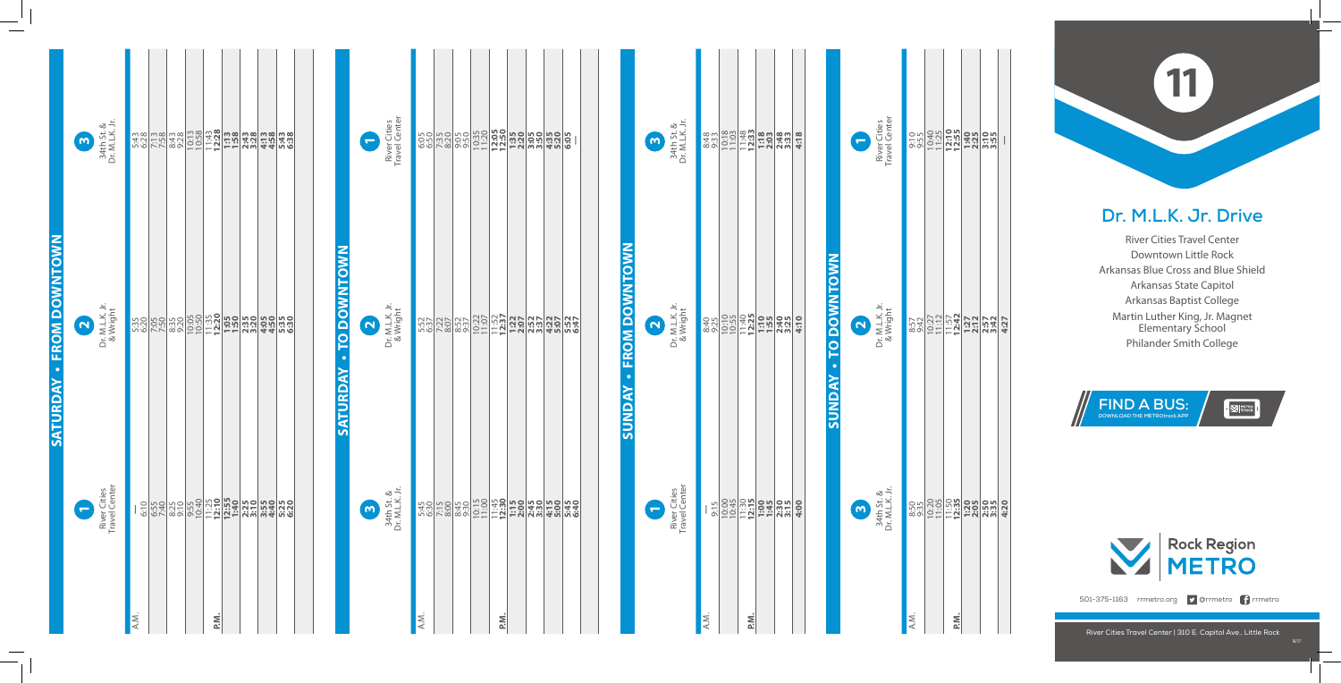## **Dr. M.L.K. Jr. Drive**

River Cities Travel Center Downtown Little Rock Arkansas Blue Cross and Blue Shield Arkansas State Capitol Arkansas Baptist College Martin Luther King, Jr. Magnet Elementary School Philander Smith College

## **11**

River Cities Travel Center | 310 E. Capitol Ave., Little Rock





501-375-1163 rrmetro.org **D** @rrmetro **f** rrmetro

| $\approx$ $\frac{1}{2}$ .<br>34th St. &<br>Dr. M.L.K<br>$\mathsf{m}$                            |      | <u>wgluega dia tinggi dia tinggi dia tinggi dia t</u>                                                                                                                                                                                                                                  | River Cities<br>Travel Center<br>$\overline{\phantom{0}}$                                |             | 34th St. &<br>Dr. M.L.K. Jr.<br>$\boldsymbol{\omega}$                                |                                                                                                                            |
|-------------------------------------------------------------------------------------------------|------|----------------------------------------------------------------------------------------------------------------------------------------------------------------------------------------------------------------------------------------------------------------------------------------|------------------------------------------------------------------------------------------|-------------|--------------------------------------------------------------------------------------|----------------------------------------------------------------------------------------------------------------------------|
| <b>FROM DOWNTOWN</b><br>Dr. M.L.K. Jr.<br>& Wright<br>$\mathbf{\Omega}$<br>$\ddot{\phantom{0}}$ |      | <b>TO DOWNTOWN</b><br><u>အချိုင်းများများ မြန်မာ မြန်မာ မြန်မာ မြန်မာ မြန်မာ</u><br>အချိုင်းများများ မြန်မာ မြန်မာ မြန်မာ မြန်မာ မြန်မာ မြန်မာ မြန်မာ မြန်မာ မြန်မာ မြန်မာ မြန်မာ မြန်မာ မြန်မာ မြ<br>အချိုင်းများများ မြန်မာ မြန်မာ မြန်မာ မြန်မာ မြန်မာ မြန်<br>$\bullet$<br>ATURDAY | Dr. M.L.K. Jr.<br>& Wright<br>$\mathbf{\Omega}$                                          |             | <b>FROM DOWNTOWN</b><br>Dr. M.L.K. Jr.<br>& Wright<br>$\mathbf{\Omega}$<br>$\bullet$ |                                                                                                                            |
| SATURDAY<br>· Cities<br>Center<br>$\overline{\phantom{0}}$<br>River                             |      | <u>ທີ</u>                                                                                                                                                                                                                                                                              | $\underset{K\text{ }}{\overset{\circ}{\alpha}}$ if.<br>34th St<br>Dr. M.L.H<br>$\bullet$ |             | <b><i>SUNDAY</i></b><br>River Cities<br>Travel Center<br>$\blacksquare$              | $rac{615}{61000}$<br>$rac{1000}{6100}$<br>$rac{1000}{6100}$<br>$rac{1000}{6100}$<br>$rac{1000}{6100}$<br>$rac{1000}{6100}$ |
|                                                                                                 | A.M. | P.M.                                                                                                                                                                                                                                                                                   |                                                                                          | A.M.<br>P.M |                                                                                      | A.M.<br>P.M.                                                                                                               |

**TO DOWNTOWN SUNDAY • TO DOWNTOWN** *SUNDAY* 

 $\mathbf{r}$ 

| P.M.                                                                                           |  |
|------------------------------------------------------------------------------------------------|--|
| <u>အိုက်ခြင်း မြို့သည်။</u><br>မြို့ကြည်များ မြို့သည်။<br>အိုက်ခြင်း မြို့သည်။ မြို့သည်။ မြို့ |  |
| 857<br>8327 <u>001153<mark>101012</mark></u><br>8327 <u>01153<mark>1</mark>227</u><br>83277227 |  |
| င္း<br>၁၁၂ <u>၁၃၃<b>၂၁၁၅</b><br/>၁၁၂၁၁၂၁၁၂၁၁</u><br>၁၁၂၁၁၂၁၁၂၁၁                                |  |

8:57 & Wright

34th St. &

Dr. M.L.K. Jr.

<u>ო</u>

Dr. M.L.K. Jr.

River Cities Travel Center

**1**